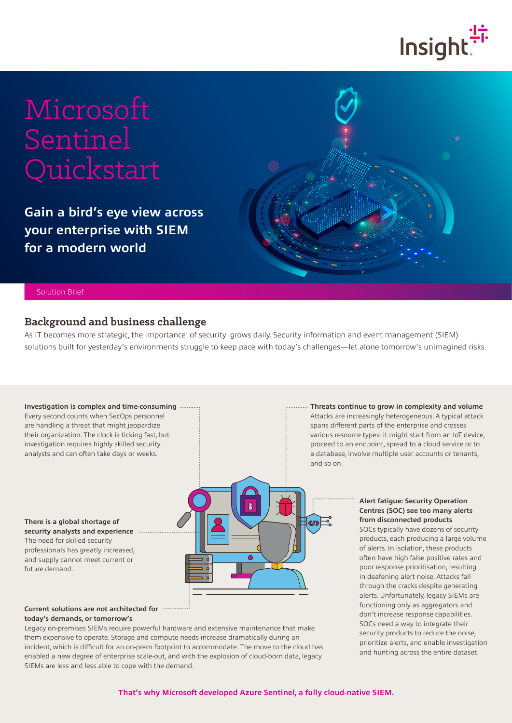

# Microsoft Sentinel Quickstart

**Gain a bird's eye view across your enterprise with SIEM for a modern world**



#### Solution Brief

### **Background and business challenge**

As IT becomes more strategic, the importance of security grows daily. Security information and event management (SIEM) solutions built for yesterday's environments struggle to keep pace with today's challenges—let alone tomorrow's unimagined risks.

#### **Investigation is complex and time-consuming**

Every second counts when SecOps personnel are handling a threat that might jeopardize their organization. The clock is ticking fast, but investigation requires highly skilled security analysts and can often take days or weeks.

**There is a global shortage of security analysts and experience** The need for skilled security professionals has greatly increased, and supply cannot meet current or future demand.

# $\mathbf{R}$  $\left($

#### **Current solutions are not architected for today's demands, or tomorrow's**

Legacy on-premises SIEMs require powerful hardware and extensive maintenance that make them expensive to operate. Storage and compute needs increase dramatically during an incident, which is difficult for an on-prem footprint to accommodate. The move to the cloud has enabled a new degree of enterprise scale-out, and with the explosion of cloud-born data, legacy SIEMs are less and less able to cope with the demand.

**Threats continue to grow in complexity and volume** Attacks are increasingly heterogeneous. A typical attack spans different parts of the enterprise and crosses various resource types: it might start from an IoT device,

proceed to an endpoint, spread to a cloud service or to a database, involve multiple user accounts or tenants, and so on.

#### **Alert fatigue: Security Operation Centres (SOC) see too many alerts from disconnected products**

SOCs typically have dozens of security products, each producing a large volume of alerts. In isolation, these products often have high false positive rates and poor response prioritisation, resulting in deafening alert noise. Attacks fall through the cracks despite generating alerts. Unfortunately, legacy SIEMs are functioning only as aggregators and don't increase response capabilities. SOCs need a way to integrate their security products to reduce the noise, prioritize alerts, and enable investigation and hunting across the entire dataset.